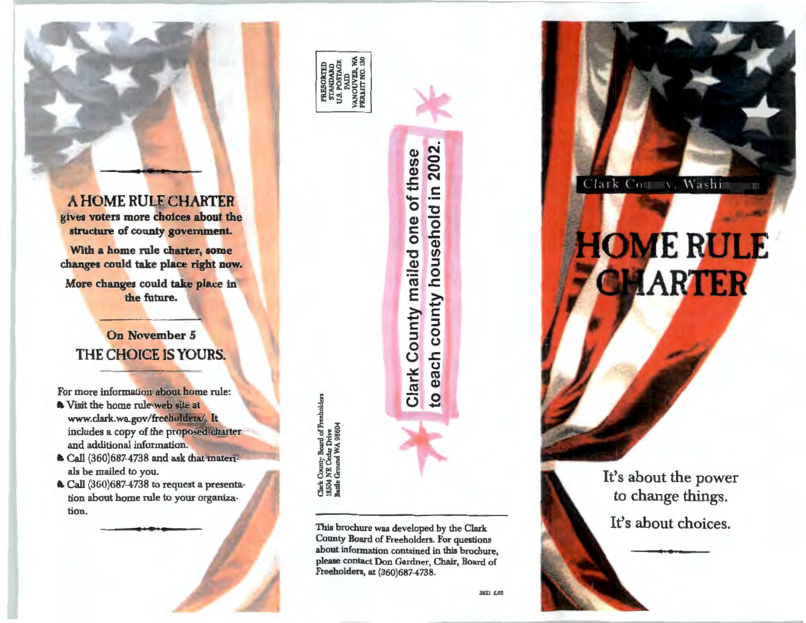A HOME RULE CHARTER gives voters more choices about the structure of county government.

With a home rule charter, some changes could take place right now.

More changes could take place in the future.

### **On November 5** THE CHOICE IS YOURS.

For more information about home rule:

- Visit the home rule web site at www.clark.wa.gov/freeholders/ It includes a copy of the proposed charter and additional information.
- a Call (360)687-4738 and ask that materials be mailed to you.
- Le Call (360)687-4738 to request a presentation about home rule to your organization.

医肾

aty Board of Fre EX-ඊ

This brochure was developed by the Clark County Board of Freeholders. For questions about information contained in this brochure, please contact Don Gardner, Chair, Board of Freeholders, at (360)687-4738.

each county household in 2002

 $\overline{c}$ 

Clark County mailed one of these

Clark Courty, Washi

# **HOME RULE** CHARTER

It's about the power to change things. It's about choices.